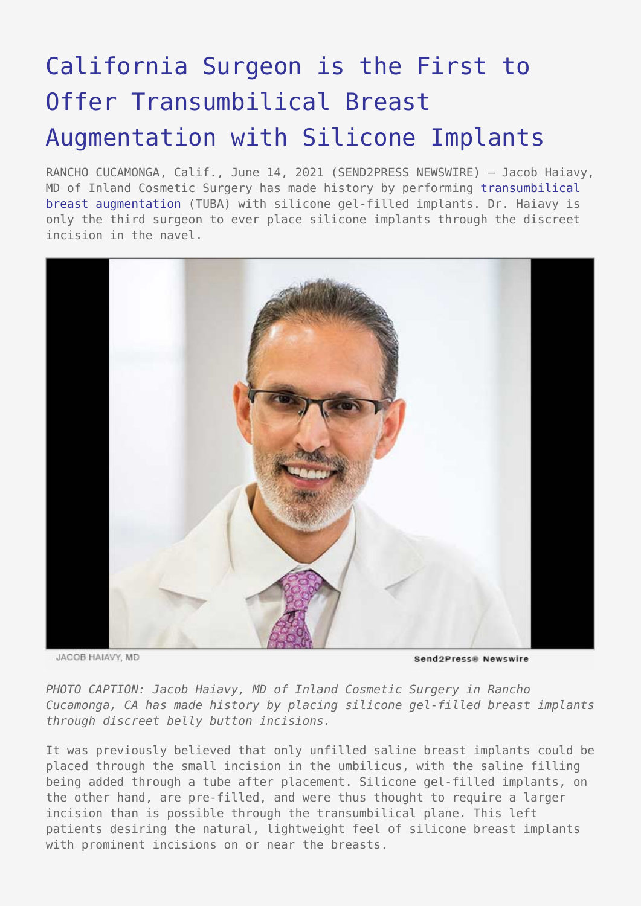## [California Surgeon is the First to](https://www.send2press.com/wire/california-surgeon-is-the-first-to-offer-transumbilical-breast-augmentation-with-silicone-implants/) [Offer Transumbilical Breast](https://www.send2press.com/wire/california-surgeon-is-the-first-to-offer-transumbilical-breast-augmentation-with-silicone-implants/) [Augmentation with Silicone Implants](https://www.send2press.com/wire/california-surgeon-is-the-first-to-offer-transumbilical-breast-augmentation-with-silicone-implants/)

RANCHO CUCAMONGA, Calif., June 14, 2021 (SEND2PRESS NEWSWIRE) — Jacob Haiavy, MD of Inland Cosmetic Surgery has made history by performing [transumbilical](https://www.inlandcosmetic.com/breast/tuba-belly-button-breast-augmentation-rancho-cucamonga/) [breast augmentation](https://www.inlandcosmetic.com/breast/tuba-belly-button-breast-augmentation-rancho-cucamonga/) (TUBA) with silicone gel-filled implants. Dr. Haiavy is only the third surgeon to ever place silicone implants through the discreet incision in the navel.



JACOB HAIAVY, MD

Send2Press® Newswire

*PHOTO CAPTION: Jacob Haiavy, MD of Inland Cosmetic Surgery in Rancho Cucamonga, CA has made history by placing silicone gel-filled breast implants through discreet belly button incisions.*

It was previously believed that only unfilled saline breast implants could be placed through the small incision in the umbilicus, with the saline filling being added through a tube after placement. Silicone gel-filled implants, on the other hand, are pre-filled, and were thus thought to require a larger incision than is possible through the transumbilical plane. This left patients desiring the natural, lightweight feel of silicone breast implants with prominent incisions on or near the breasts.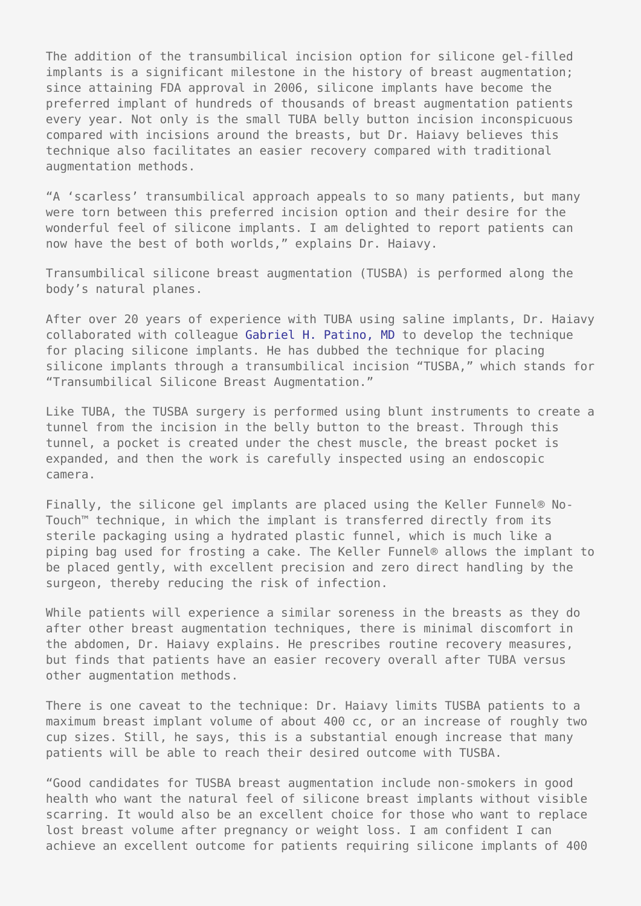The addition of the transumbilical incision option for silicone gel-filled implants is a significant milestone in the history of breast augmentation; since attaining FDA approval in 2006, silicone implants have become the preferred implant of hundreds of thousands of breast augmentation patients every year. Not only is the small TUBA belly button incision inconspicuous compared with incisions around the breasts, but Dr. Haiavy believes this technique also facilitates an easier recovery compared with traditional augmentation methods.

"A 'scarless' transumbilical approach appeals to so many patients, but many were torn between this preferred incision option and their desire for the wonderful feel of silicone implants. I am delighted to report patients can now have the best of both worlds," explains Dr. Haiavy.

Transumbilical silicone breast augmentation (TUSBA) is performed along the body's natural planes.

After over 20 years of experience with TUBA using saline implants, Dr. Haiavy collaborated with colleague [Gabriel H. Patino, MD](https://www.thecosmeticsurgicalcenter.com/meet-dr-patino/) to develop the technique for placing silicone implants. He has dubbed the technique for placing silicone implants through a transumbilical incision "TUSBA," which stands for "Transumbilical Silicone Breast Augmentation."

Like TUBA, the TUSBA surgery is performed using blunt instruments to create a tunnel from the incision in the belly button to the breast. Through this tunnel, a pocket is created under the chest muscle, the breast pocket is expanded, and then the work is carefully inspected using an endoscopic camera.

Finally, the silicone gel implants are placed using the Keller Funnel® No-Touch™ technique, in which the implant is transferred directly from its sterile packaging using a hydrated plastic funnel, which is much like a piping bag used for frosting a cake. The Keller Funnel® allows the implant to be placed gently, with excellent precision and zero direct handling by the surgeon, thereby reducing the risk of infection.

While patients will experience a similar soreness in the breasts as they do after other breast augmentation techniques, there is minimal discomfort in the abdomen, Dr. Haiavy explains. He prescribes routine recovery measures, but finds that patients have an easier recovery overall after TUBA versus other augmentation methods.

There is one caveat to the technique: Dr. Haiavy limits TUSBA patients to a maximum breast implant volume of about 400 cc, or an increase of roughly two cup sizes. Still, he says, this is a substantial enough increase that many patients will be able to reach their desired outcome with TUSBA.

"Good candidates for TUSBA breast augmentation include non-smokers in good health who want the natural feel of silicone breast implants without visible scarring. It would also be an excellent choice for those who want to replace lost breast volume after pregnancy or weight loss. I am confident I can achieve an excellent outcome for patients requiring silicone implants of 400